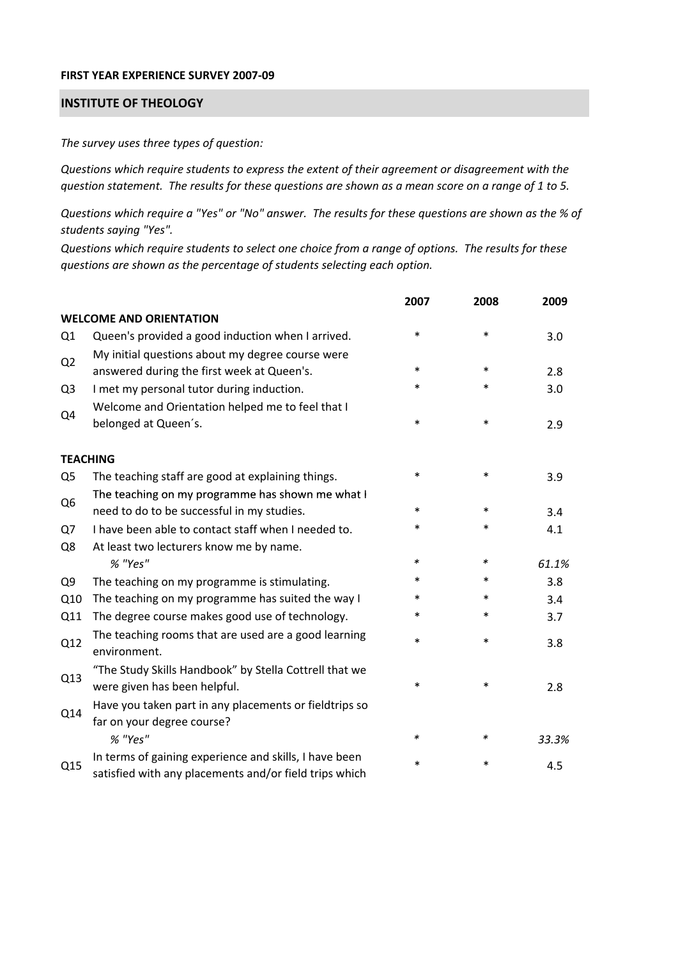## **FIRST YEAR EXPERIENCE SURVEY 2007‐09**

## **INSTITUTE OF THEOLOGY**

*The survey uses three types of question:*

*Questions which require students to express the extent of their agreement or disagreement with the* question statement. The results for these questions are shown as a mean score on a range of 1 to 5.

Questions which require a "Yes" or "No" answer. The results for these questions are shown as the % of *students saying "Yes".*

Questions which require students to select one choice from a range of options. The results for these *questions are shown as the percentage of students selecting each option.*

|                |                                                                                                                  | 2007   | 2008   | 2009  |
|----------------|------------------------------------------------------------------------------------------------------------------|--------|--------|-------|
|                | <b>WELCOME AND ORIENTATION</b>                                                                                   |        |        |       |
| Q1             | Queen's provided a good induction when I arrived.                                                                | $\ast$ | $\ast$ | 3.0   |
| Q <sub>2</sub> | My initial questions about my degree course were<br>answered during the first week at Queen's.                   | $\ast$ | $\ast$ | 2.8   |
| Q <sub>3</sub> | I met my personal tutor during induction.                                                                        | $\ast$ | $\ast$ | 3.0   |
| Q4             | Welcome and Orientation helped me to feel that I<br>belonged at Queen's.                                         | $\ast$ | $\ast$ | 2.9   |
|                | <b>TEACHING</b>                                                                                                  |        |        |       |
| Q <sub>5</sub> | The teaching staff are good at explaining things.                                                                | $\ast$ | $\ast$ | 3.9   |
|                | The teaching on my programme has shown me what I                                                                 |        |        |       |
| Q <sub>6</sub> | need to do to be successful in my studies.                                                                       | $\ast$ | $\ast$ | 3.4   |
| Q7             | I have been able to contact staff when I needed to.                                                              | $\ast$ | $\ast$ | 4.1   |
| Q8             | At least two lecturers know me by name.                                                                          |        |        |       |
|                | % "Yes"                                                                                                          | *      | $\ast$ | 61.1% |
| Q <sub>9</sub> | The teaching on my programme is stimulating.                                                                     | $\ast$ | $\ast$ | 3.8   |
| Q10            | The teaching on my programme has suited the way I                                                                | $\ast$ | $\ast$ | 3.4   |
| Q11            | The degree course makes good use of technology.                                                                  | $\ast$ | $\ast$ | 3.7   |
| Q12            | The teaching rooms that are used are a good learning<br>environment.                                             | $\ast$ | $\ast$ | 3.8   |
| Q13            | "The Study Skills Handbook" by Stella Cottrell that we<br>were given has been helpful.                           | $\ast$ | $\ast$ | 2.8   |
| Q14            | Have you taken part in any placements or fieldtrips so<br>far on your degree course?                             |        |        |       |
|                | % "Yes"                                                                                                          | *      | ∗      | 33.3% |
| Q15            | In terms of gaining experience and skills, I have been<br>satisfied with any placements and/or field trips which | $\ast$ | ∗      | 4.5   |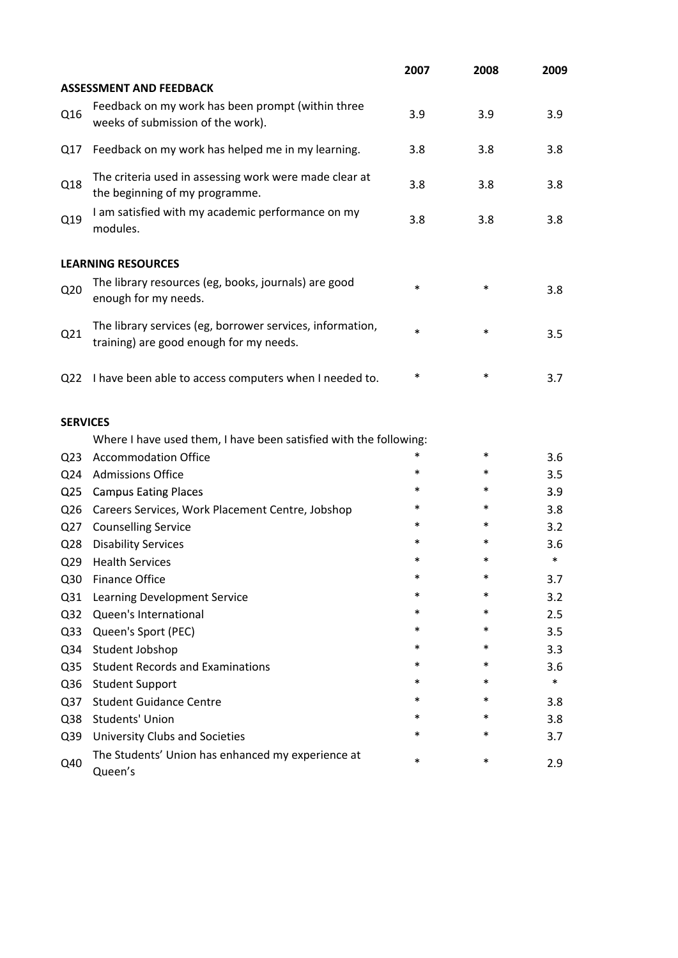|                 |                                                                                                      | 2007   | 2008   | 2009   |
|-----------------|------------------------------------------------------------------------------------------------------|--------|--------|--------|
|                 | <b>ASSESSMENT AND FEEDBACK</b>                                                                       |        |        |        |
| Q16             | Feedback on my work has been prompt (within three<br>weeks of submission of the work).               | 3.9    | 3.9    | 3.9    |
| Q17             | Feedback on my work has helped me in my learning.                                                    | 3.8    | 3.8    | 3.8    |
| Q18             | The criteria used in assessing work were made clear at<br>the beginning of my programme.             | 3.8    | 3.8    | 3.8    |
| Q19             | I am satisfied with my academic performance on my<br>modules.                                        | 3.8    | 3.8    | 3.8    |
|                 | <b>LEARNING RESOURCES</b>                                                                            |        |        |        |
| Q <sub>20</sub> | The library resources (eg, books, journals) are good<br>enough for my needs.                         | $\ast$ | $\ast$ | 3.8    |
| Q21             | The library services (eg, borrower services, information,<br>training) are good enough for my needs. | $\ast$ | $\ast$ | 3.5    |
| Q <sub>22</sub> | I have been able to access computers when I needed to.                                               | $\ast$ | $\ast$ | 3.7    |
| <b>SERVICES</b> |                                                                                                      |        |        |        |
|                 | Where I have used them, I have been satisfied with the following:                                    |        |        |        |
| Q <sub>23</sub> | <b>Accommodation Office</b>                                                                          | $\ast$ | $\ast$ | 3.6    |
| Q24             | <b>Admissions Office</b>                                                                             | $\ast$ | $\ast$ | 3.5    |
| Q <sub>25</sub> | <b>Campus Eating Places</b>                                                                          | $\ast$ | $\ast$ | 3.9    |
| Q <sub>26</sub> | Careers Services, Work Placement Centre, Jobshop                                                     | *      | $\ast$ | 3.8    |
| Q27             | <b>Counselling Service</b>                                                                           | $\ast$ | $\ast$ | 3.2    |
| Q <sub>28</sub> | <b>Disability Services</b>                                                                           | $\ast$ | *      | 3.6    |
| Q <sub>29</sub> | <b>Health Services</b>                                                                               | *      | $\ast$ | $\ast$ |
| Q30             | <b>Finance Office</b>                                                                                | $\ast$ | *      | 3.7    |
| Q <sub>31</sub> | Learning Development Service                                                                         | $\ast$ | $\ast$ | 3.2    |
| Q <sub>32</sub> | Queen's International                                                                                | *      | *      | 2.5    |
| Q <sub>33</sub> | Queen's Sport (PEC)                                                                                  | *      | $\ast$ | 3.5    |
| Q34             | Student Jobshop                                                                                      | $\ast$ | $\ast$ | 3.3    |
| Q <sub>35</sub> | <b>Student Records and Examinations</b>                                                              | $\ast$ | *      | 3.6    |
| Q36             | <b>Student Support</b>                                                                               | $\ast$ | $\ast$ | $\ast$ |
| Q <sub>37</sub> | <b>Student Guidance Centre</b>                                                                       | $\ast$ | $\ast$ | 3.8    |
| Q38             | Students' Union                                                                                      | $\ast$ | $\ast$ | 3.8    |
| Q39             | <b>University Clubs and Societies</b>                                                                | $\ast$ | *      | 3.7    |
| Q40             | The Students' Union has enhanced my experience at<br>Queen's                                         | $\ast$ | $\ast$ | 2.9    |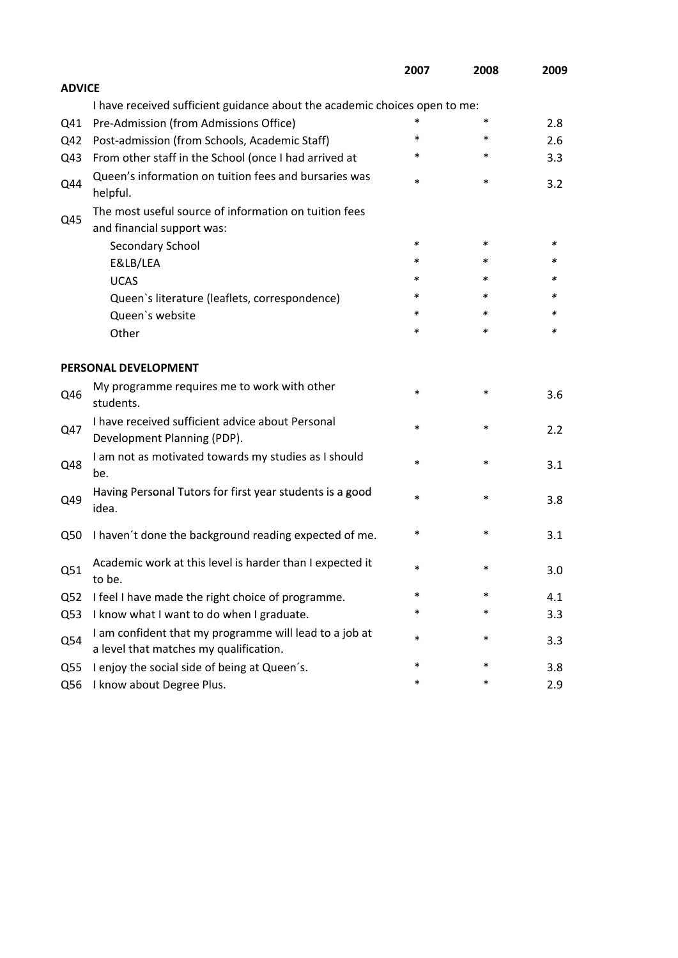|                 |                                                                                                  | 2007   | 2008   | 2009 |
|-----------------|--------------------------------------------------------------------------------------------------|--------|--------|------|
| <b>ADVICE</b>   |                                                                                                  |        |        |      |
|                 | I have received sufficient guidance about the academic choices open to me:                       |        |        |      |
| Q41             | Pre-Admission (from Admissions Office)                                                           | *      | $\ast$ | 2.8  |
| Q42             | Post-admission (from Schools, Academic Staff)                                                    | $\ast$ | $\ast$ | 2.6  |
| Q43             | From other staff in the School (once I had arrived at                                            | *      | $\ast$ | 3.3  |
| Q44             | Queen's information on tuition fees and bursaries was<br>helpful.                                | $\ast$ | $\ast$ | 3.2  |
|                 | The most useful source of information on tuition fees                                            |        |        |      |
| Q45             | and financial support was:                                                                       |        |        |      |
|                 | Secondary School                                                                                 | $\ast$ | $\ast$ | ∗    |
|                 | E&LB/LEA                                                                                         | $\ast$ | $\ast$ | *    |
|                 | <b>UCAS</b>                                                                                      | *      | *      | ж    |
|                 | Queen's literature (leaflets, correspondence)                                                    | $\ast$ | $\ast$ | ∗    |
|                 | Queen's website                                                                                  | $\ast$ | ∗      | ∗    |
|                 | Other                                                                                            | $\ast$ | $\ast$ | ∗    |
|                 | PERSONAL DEVELOPMENT                                                                             |        |        |      |
| Q46             | My programme requires me to work with other<br>students.                                         | $\ast$ | $\ast$ | 3.6  |
| Q47             | I have received sufficient advice about Personal<br>Development Planning (PDP).                  | $\ast$ | $\ast$ | 2.2  |
| Q48             | I am not as motivated towards my studies as I should<br>be.                                      | $\ast$ | $\ast$ | 3.1  |
| Q49             | Having Personal Tutors for first year students is a good<br>idea.                                | $\ast$ | $\ast$ | 3.8  |
| Q50             | I haven't done the background reading expected of me.                                            | $\ast$ | ∗      | 3.1  |
| Q51             | Academic work at this level is harder than I expected it<br>to be.                               | *      | $\ast$ | 3.0  |
| Q <sub>52</sub> | I feel I have made the right choice of programme.                                                | $\ast$ | $\ast$ | 4.1  |
| Q53             | I know what I want to do when I graduate.                                                        | *      | $\ast$ | 3.3  |
| Q54             | I am confident that my programme will lead to a job at<br>a level that matches my qualification. | $\ast$ | $\ast$ | 3.3  |
| Q <sub>55</sub> | I enjoy the social side of being at Queen's.                                                     | $\ast$ | $\ast$ | 3.8  |
| Q56             | I know about Degree Plus.                                                                        | $\ast$ | $\ast$ | 2.9  |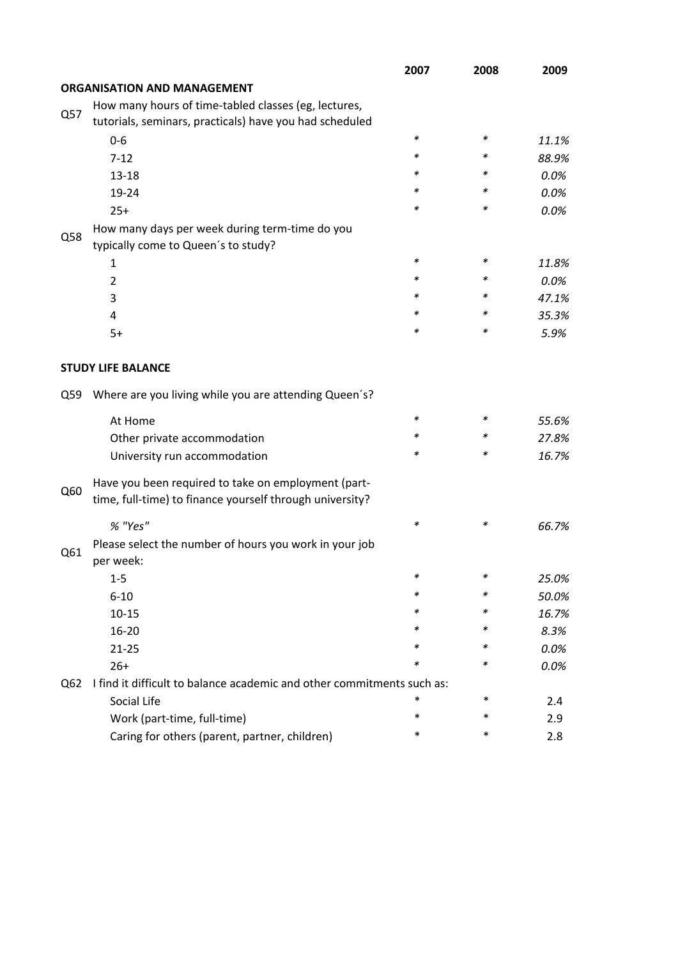|     |                                                                        | 2007   | 2008   | 2009  |
|-----|------------------------------------------------------------------------|--------|--------|-------|
|     | <b>ORGANISATION AND MANAGEMENT</b>                                     |        |        |       |
|     | How many hours of time-tabled classes (eg, lectures,                   |        |        |       |
| Q57 | tutorials, seminars, practicals) have you had scheduled                |        |        |       |
|     | $0 - 6$                                                                | $\ast$ | $\ast$ | 11.1% |
|     | $7 - 12$                                                               | *      | ∗      | 88.9% |
|     | $13 - 18$                                                              | *      | ∗      | 0.0%  |
|     | 19-24                                                                  | *      | *      | 0.0%  |
|     | $25+$                                                                  | *      | ∗      | 0.0%  |
|     | How many days per week during term-time do you                         |        |        |       |
| Q58 | typically come to Queen's to study?                                    |        |        |       |
|     | 1                                                                      | *      | $\ast$ | 11.8% |
|     | $\overline{2}$                                                         | *      | ∗      | 0.0%  |
|     | 3                                                                      | *      | ∗      | 47.1% |
|     | 4                                                                      | *      | ∗      | 35.3% |
|     | $5+$                                                                   | *      | *      | 5.9%  |
|     |                                                                        |        |        |       |
|     | <b>STUDY LIFE BALANCE</b>                                              |        |        |       |
| Q59 | Where are you living while you are attending Queen's?                  |        |        |       |
|     | At Home                                                                | $\ast$ | ∗      | 55.6% |
|     | Other private accommodation                                            | *      | ∗      | 27.8% |
|     | University run accommodation                                           | ∗      | ∗      | 16.7% |
|     | Have you been required to take on employment (part-                    |        |        |       |
| Q60 | time, full-time) to finance yourself through university?               |        |        |       |
|     | % "Yes"                                                                | *      | *      | 66.7% |
|     | Please select the number of hours you work in your job                 |        |        |       |
| Q61 | per week:                                                              |        |        |       |
|     | 1-5                                                                    |        |        | 25.0% |
|     | $6 - 10$                                                               | ∗      | *      | 50.0% |
|     | $10 - 15$                                                              | ∗      | ∗      | 16.7% |
|     | $16 - 20$                                                              | ∗      | ∗      | 8.3%  |
|     | $21 - 25$                                                              | *      | *      | 0.0%  |
|     | $26+$                                                                  | ∗      | ∗      | 0.0%  |
| Q62 | I find it difficult to balance academic and other commitments such as: |        |        |       |
|     | Social Life                                                            | *      | ∗      | 2.4   |
|     | Work (part-time, full-time)                                            | *      | $\ast$ | 2.9   |
|     | Caring for others (parent, partner, children)                          | *      | $\ast$ | 2.8   |